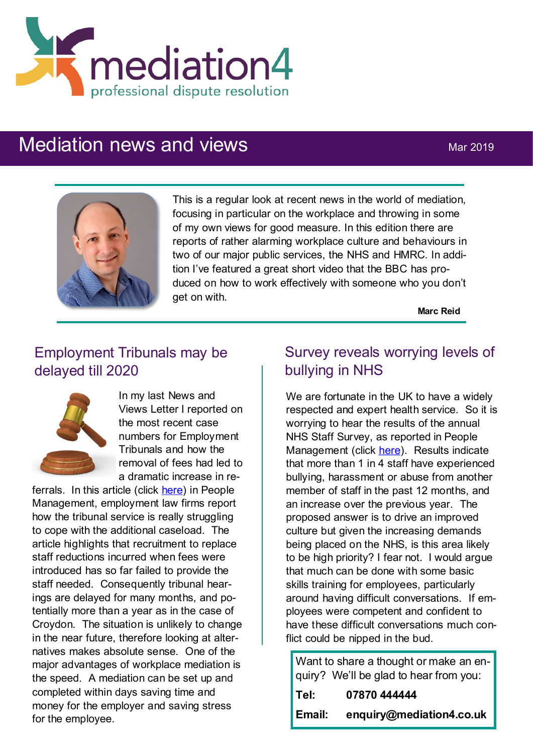

# Mediation news and views Mar 2019



This is a regular look at recent news in the world of mediation, focusing in particular on the workplace and throwing in some of my own views for good measure. In this edition there are reports of rather alarming workplace culture and behaviours in two of our major public services, the NHS and HMRC. In addition I've featured a great short video that the BBC has produced on how to work effectively with someone who you don't get on with.

**Marc Reid**

## Employment Tribunals may be delayed till 2020



In my last News and Views Letter I reported on the most recent case numbers for Employment Tribunals and how the removal of fees had led to a dramatic increase in re-

ferrals. In this article (click [here\)](https://www.peoplemanagement.co.uk/news/articles/tribunals-struggle-backlog-cases-reaches-highest-level?utm_source=mc&utm_medium=email&utm_content=pm_daily_26022019.2/26/2019.735500.Tribunals+struggle+as+backlog+of+cases+reaches+highest+level+since+fee+abo) in People Management, employment law firms report how the tribunal service is really struggling to cope with the additional caseload. The article highlights that recruitment to replace staff reductions incurred when fees were introduced has so far failed to provide the staff needed. Consequently tribunal hearings are delayed for many months, and potentially more than a year as in the case of Croydon. The situation is unlikely to change in the near future, therefore looking at alternatives makes absolute sense. One of the major advantages of workplace mediation is the speed. A mediation can be set up and completed within days saving time and money for the employer and saving stress for the employee.

## Survey reveals worrying levels of bullying in NHS

We are fortunate in the UK to have a widely respected and expert health service. So it is worrying to hear the results of the annual NHS Staff Survey, as reported in People Management (click [here\).](https://www.peoplemanagement.co.uk/news/articles/quarter-national-health-service-staff-experienced-bullying-survey-finds) Results indicate that more than 1 in 4 staff have experienced bullying, harassment or abuse from another member of staff in the past 12 months, and an increase over the previous year. The proposed answer is to drive an improved culture but given the increasing demands being placed on the NHS, is this area likely to be high priority? I fear not. I would argue that much can be done with some basic skills training for employees, particularly around having difficult conversations. If employees were competent and confident to have these difficult conversations much conflict could be nipped in the bud.

Want to share a thought or make an enquiry? We'll be glad to hear from you:

| Tel:   | 07870 444444             |
|--------|--------------------------|
| Email: | enquiry@mediation4.co.uk |